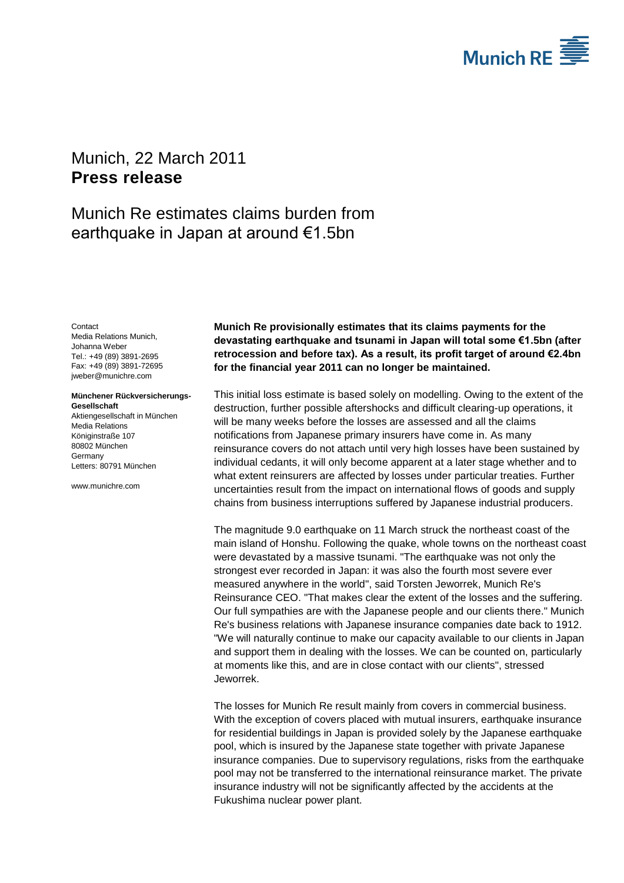

## <span id="page-0-2"></span>Munich, 22 March 2011 **Press release**

## Munich Re estimates claims burden from earthquake in Japan at around €1.5bn

<span id="page-0-1"></span><span id="page-0-0"></span>Contact Media Relations Munich, Johanna Weber Tel.: +49 (89) 3891-2695 Fax: +49 (89) 3891-72695 jweber@munichre.com

**Münchener Rückversicherungs-Gesellschaft** Aktiengesellschaft in München Media Relations

Königinstraße 107 80802 München Germany Letters: 80791 München

www.munichre.com

**Munich Re provisionally estimates that its claims payments for the devastating earthquake and tsunami in Japan will total some €1.5bn (after retrocession and before tax). As a result, its profit target of around €2.4bn for the financial year 2011 can no longer be maintained.**

This initial loss estimate is based solely on modelling. Owing to the extent of the destruction, further possible aftershocks and difficult clearing-up operations, it will be many weeks before the losses are assessed and all the claims notifications from Japanese primary insurers have come in. As many reinsurance covers do not attach until very high losses have been sustained by individual cedants, it will only become apparent at a later stage whether and to what extent reinsurers are affected by losses under particular treaties. Further uncertainties result from the impact on international flows of goods and supply chains from business interruptions suffered by Japanese industrial producers.

The magnitude 9.0 earthquake on 11 March struck the northeast coast of the main island of Honshu. Following the quake, whole towns on the northeast coast were devastated by a massive tsunami. "The earthquake was not only the strongest ever recorded in Japan: it was also the fourth most severe ever measured anywhere in the world", said Torsten Jeworrek, Munich Re's Reinsurance CEO. "That makes clear the extent of the losses and the suffering. Our full sympathies are with the Japanese people and our clients there." Munich Re's business relations with Japanese insurance companies date back to 1912. "We will naturally continue to make our capacity available to our clients in Japan and support them in dealing with the losses. We can be counted on, particularly at moments like this, and are in close contact with our clients", stressed Jeworrek.

The losses for Munich Re result mainly from covers in commercial business. With the exception of covers placed with mutual insurers, earthquake insurance for residential buildings in Japan is provided solely by the Japanese earthquake pool, which is insured by the Japanese state together with private Japanese insurance companies. Due to supervisory regulations, risks from the earthquake pool may not be transferred to the international reinsurance market. The private insurance industry will not be significantly affected by the accidents at the Fukushima nuclear power plant.